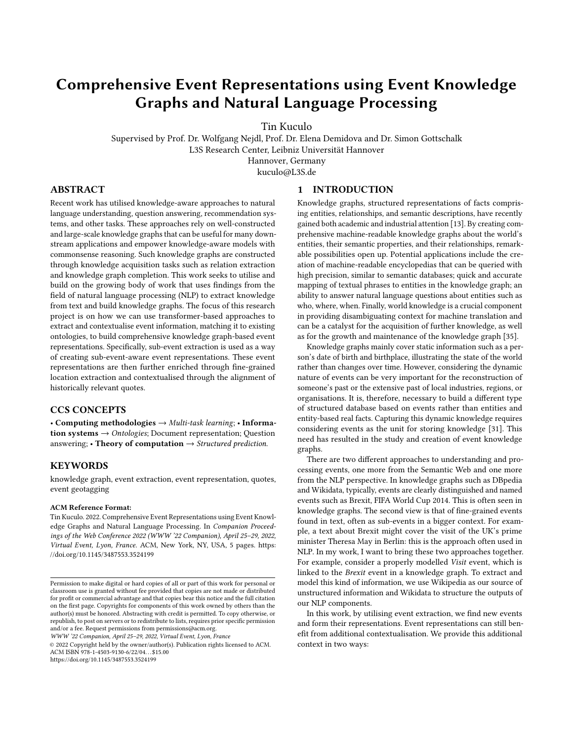# Comprehensive Event Representations using Event Knowledge Graphs and Natural Language Processing

Tin Kuculo

Supervised by Prof. Dr. Wolfgang Nejdl, Prof. Dr. Elena Demidova and Dr. Simon Gottschalk L3S Research Center, Leibniz Universität Hannover Hannover, Germany kuculo@L3S.de

# ABSTRACT

Recent work has utilised knowledge-aware approaches to natural language understanding, question answering, recommendation systems, and other tasks. These approaches rely on well-constructed and large-scale knowledge graphs that can be useful for many downstream applications and empower knowledge-aware models with commonsense reasoning. Such knowledge graphs are constructed through knowledge acquisition tasks such as relation extraction and knowledge graph completion. This work seeks to utilise and build on the growing body of work that uses findings from the field of natural language processing (NLP) to extract knowledge from text and build knowledge graphs. The focus of this research project is on how we can use transformer-based approaches to extract and contextualise event information, matching it to existing ontologies, to build comprehensive knowledge graph-based event representations. Specifically, sub-event extraction is used as a way of creating sub-event-aware event representations. These event representations are then further enriched through fine-grained location extraction and contextualised through the alignment of historically relevant quotes.

### CCS CONCEPTS

• Computing methodologies  $\rightarrow$  Multi-task learning; • Information systems  $\rightarrow$  Ontologies; Document representation; Question answering; • Theory of computation  $\rightarrow$  Structured prediction.

# **KEYWORDS**

knowledge graph, event extraction, event representation, quotes, event geotagging

### ACM Reference Format:

Tin Kuculo. 2022. Comprehensive Event Representations using Event Knowledge Graphs and Natural Language Processing. In Companion Proceedings of the Web Conference 2022 (WWW '22 Companion), April 25–29, 2022, Virtual Event, Lyon, France. ACM, New York, NY, USA, [5](#page-4-0) pages. [https:](https://doi.org/10.1145/3487553.3524199) [//doi.org/10.1145/3487553.3524199](https://doi.org/10.1145/3487553.3524199)

WWW '22 Companion, April 25–29, 2022, Virtual Event, Lyon, France

© 2022 Copyright held by the owner/author(s). Publication rights licensed to ACM. ACM ISBN 978-1-4503-9130-6/22/04. . . \$15.00 <https://doi.org/10.1145/3487553.3524199>

### 1 INTRODUCTION

Knowledge graphs, structured representations of facts comprising entities, relationships, and semantic descriptions, have recently gained both academic and industrial attention [\[13\]](#page-4-1). By creating comprehensive machine-readable knowledge graphs about the world's entities, their semantic properties, and their relationships, remarkable possibilities open up. Potential applications include the creation of machine-readable encyclopedias that can be queried with high precision, similar to semantic databases; quick and accurate mapping of textual phrases to entities in the knowledge graph; an ability to answer natural language questions about entities such as who, where, when. Finally, world knowledge is a crucial component in providing disambiguating context for machine translation and can be a catalyst for the acquisition of further knowledge, as well as for the growth and maintenance of the knowledge graph [\[35\]](#page-4-2).

Knowledge graphs mainly cover static information such as a person's date of birth and birthplace, illustrating the state of the world rather than changes over time. However, considering the dynamic nature of events can be very important for the reconstruction of someone's past or the extensive past of local industries, regions, or organisations. It is, therefore, necessary to build a different type of structured database based on events rather than entities and entity-based real facts. Capturing this dynamic knowledge requires considering events as the unit for storing knowledge [\[31\]](#page-4-3). This need has resulted in the study and creation of event knowledge graphs.

There are two different approaches to understanding and processing events, one more from the Semantic Web and one more from the NLP perspective. In knowledge graphs such as DBpedia and Wikidata, typically, events are clearly distinguished and named events such as Brexit, FIFA World Cup 2014. This is often seen in knowledge graphs. The second view is that of fine-grained events found in text, often as sub-events in a bigger context. For example, a text about Brexit might cover the visit of the UK's prime minister Theresa May in Berlin: this is the approach often used in NLP. In my work, I want to bring these two approaches together. For example, consider a properly modelled Visit event, which is linked to the Brexit event in a knowledge graph. To extract and model this kind of information, we use Wikipedia as our source of unstructured information and Wikidata to structure the outputs of our NLP components.

In this work, by utilising event extraction, we find new events and form their representations. Event representations can still benefit from additional contextualisation. We provide this additional context in two ways:

Permission to make digital or hard copies of all or part of this work for personal or classroom use is granted without fee provided that copies are not made or distributed for profit or commercial advantage and that copies bear this notice and the full citation on the first page. Copyrights for components of this work owned by others than the author(s) must be honored. Abstracting with credit is permitted. To copy otherwise, or republish, to post on servers or to redistribute to lists, requires prior specific permission and/or a fee. Request permissions from permissions@acm.org.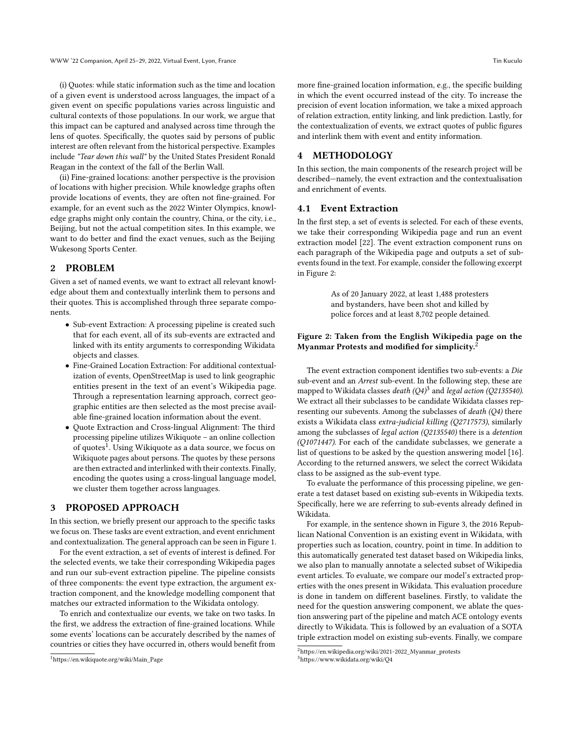(i) Quotes: while static information such as the time and location of a given event is understood across languages, the impact of a given event on specific populations varies across linguistic and cultural contexts of those populations. In our work, we argue that this impact can be captured and analysed across time through the lens of quotes. Specifically, the quotes said by persons of public interest are often relevant from the historical perspective. Examples include "Tear down this wall" by the United States President Ronald Reagan in the context of the fall of the Berlin Wall.

(ii) Fine-grained locations: another perspective is the provision of locations with higher precision. While knowledge graphs often provide locations of events, they are often not fine-grained. For example, for an event such as the 2022 Winter Olympics, knowledge graphs might only contain the country, China, or the city, i.e., Beijing, but not the actual competition sites. In this example, we want to do better and find the exact venues, such as the Beijing Wukesong Sports Center.

### 2 PROBLEM

Given a set of named events, we want to extract all relevant knowledge about them and contextually interlink them to persons and their quotes. This is accomplished through three separate components.

- Sub-event Extraction: A processing pipeline is created such that for each event, all of its sub-events are extracted and linked with its entity arguments to corresponding Wikidata objects and classes.
- Fine-Grained Location Extraction: For additional contextualization of events, OpenStreetMap is used to link geographic entities present in the text of an event's Wikipedia page. Through a representation learning approach, correct geographic entities are then selected as the most precise available fine-grained location information about the event.
- Quote Extraction and Cross-lingual Alignment: The third processing pipeline utilizes Wikiquote – an online collection of quotes $^1$  $^1$ . Using Wikiquote as a data source, we focus on Wikiquote pages about persons. The quotes by these persons are then extracted and interlinked with their contexts. Finally, encoding the quotes using a cross-lingual language model, we cluster them together across languages.

# 3 PROPOSED APPROACH

In this section, we briefly present our approach to the specific tasks we focus on. These tasks are event extraction, and event enrichment and contextualization. The general approach can be seen in Figure [1.](#page-2-0)

For the event extraction, a set of events of interest is defined. For the selected events, we take their corresponding Wikipedia pages and run our sub-event extraction pipeline. The pipeline consists of three components: the event type extraction, the argument extraction component, and the knowledge modelling component that matches our extracted information to the Wikidata ontology.

To enrich and contextualize our events, we take on two tasks. In the first, we address the extraction of fine-grained locations. While some events' locations can be accurately described by the names of countries or cities they have occurred in, others would benefit from

more fine-grained location information, e.g., the specific building in which the event occurred instead of the city. To increase the precision of event location information, we take a mixed approach of relation extraction, entity linking, and link prediction. Lastly, for the contextualization of events, we extract quotes of public figures and interlink them with event and entity information.

### 4 METHODOLOGY

In this section, the main components of the research project will be described—namely, the event extraction and the contextualisation and enrichment of events.

### 4.1 Event Extraction

In the first step, a set of events is selected. For each of these events, we take their corresponding Wikipedia page and run an event extraction model [\[22\]](#page-4-4). The event extraction component runs on each paragraph of the Wikipedia page and outputs a set of subevents found in the text. For example, consider the following excerpt in Figure [2:](#page-1-1)

> <span id="page-1-1"></span>As of 20 January 2022, at least 1,488 protesters and bystanders, have been shot and killed by police forces and at least 8,702 people detained.

#### Figure 2: Taken from the English Wikipedia page on the Myanmar Protests and modified for simplicity.[2](#page-1-2)

The event extraction component identifies two sub-events: a Die sub-event and an Arrest sub-event. In the following step, these are mapped to Wikidata classes *death (Q4)<sup>[3](#page-1-3)</sup> and legal action (Q2135540).* We extract all their subclasses to be candidate Wikidata classes representing our subevents. Among the subclasses of death (Q4) there exists a Wikidata class extra-judicial killing (Q2717573), similarly among the subclasses of legal action (Q2135540) there is a detention (Q1071447). For each of the candidate subclasses, we generate a list of questions to be asked by the question answering model [\[16\]](#page-4-5). According to the returned answers, we select the correct Wikidata class to be assigned as the sub-event type.

To evaluate the performance of this processing pipeline, we generate a test dataset based on existing sub-events in Wikipedia texts. Specifically, here we are referring to sub-events already defined in Wikidata.

For example, in the sentence shown in Figure [3,](#page-2-1) the 2016 Republican National Convention is an existing event in Wikidata, with properties such as location, country, point in time. In addition to this automatically generated test dataset based on Wikipedia links, we also plan to manually annotate a selected subset of Wikipedia event articles. To evaluate, we compare our model's extracted properties with the ones present in Wikidata. This evaluation procedure is done in tandem on different baselines. Firstly, to validate the need for the question answering component, we ablate the question answering part of the pipeline and match ACE ontology events directly to Wikidata. This is followed by an evaluation of a SOTA triple extraction model on existing sub-events. Finally, we compare

<span id="page-1-0"></span><sup>1</sup>[https://en.wikiquote.org/wiki/Main\\_Page](https://en.wikiquote.org/wiki/Main_Page)

<span id="page-1-2"></span><sup>2</sup>[https://en.wikipedia.org/wiki/2021-2022\\_Myanmar\\_protests](https://en.wikipedia.org/wiki/2021-2022_Myanmar_protests)

<span id="page-1-3"></span><sup>3</sup><https://www.wikidata.org/wiki/Q4>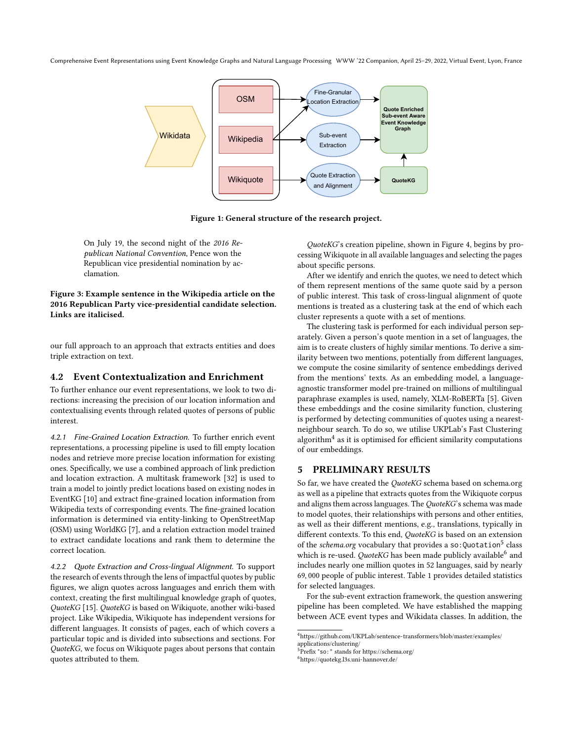<span id="page-2-0"></span>Comprehensive Event Representations using Event Knowledge Graphs and Natural Language Processing WWW '22 Companion, April 25–29, 2022, Virtual Event, Lyon, France



Figure 1: General structure of the research project.

<span id="page-2-1"></span>On July 19, the second night of the 2016 Republican National Convention, Pence won the Republican vice presidential nomination by acclamation.

Figure 3: Example sentence in the Wikipedia article on the 2016 Republican Party vice-presidential candidate selection. Links are italicised.

our full approach to an approach that extracts entities and does triple extraction on text.

# 4.2 Event Contextualization and Enrichment

To further enhance our event representations, we look to two directions: increasing the precision of our location information and contextualising events through related quotes of persons of public interest.

4.2.1 Fine-Grained Location Extraction. To further enrich event representations, a processing pipeline is used to fill empty location nodes and retrieve more precise location information for existing ones. Specifically, we use a combined approach of link prediction and location extraction. A multitask framework [\[32\]](#page-4-6) is used to train a model to jointly predict locations based on existing nodes in EventKG [\[10\]](#page-4-7) and extract fine-grained location information from Wikipedia texts of corresponding events. The fine-grained location information is determined via entity-linking to OpenStreetMap (OSM) using WorldKG [\[7\]](#page-4-8), and a relation extraction model trained to extract candidate locations and rank them to determine the correct location.

4.2.2 Quote Extraction and Cross-lingual Alignment. To support the research of events through the lens of impactful quotes by public figures, we align quotes across languages and enrich them with context, creating the first multilingual knowledge graph of quotes, QuoteKG [\[15\]](#page-4-9). QuoteKG is based on Wikiquote, another wiki-based project. Like Wikipedia, Wikiquote has independent versions for different languages. It consists of pages, each of which covers a particular topic and is divided into subsections and sections. For QuoteKG, we focus on Wikiquote pages about persons that contain quotes attributed to them.

QuoteKG's creation pipeline, shown in Figure [4,](#page-3-0) begins by processing Wikiquote in all available languages and selecting the pages about specific persons.

After we identify and enrich the quotes, we need to detect which of them represent mentions of the same quote said by a person of public interest. This task of cross-lingual alignment of quote mentions is treated as a clustering task at the end of which each cluster represents a quote with a set of mentions.

The clustering task is performed for each individual person separately. Given a person's quote mention in a set of languages, the aim is to create clusters of highly similar mentions. To derive a similarity between two mentions, potentially from different languages, we compute the cosine similarity of sentence embeddings derived from the mentions' texts. As an embedding model, a languageagnostic transformer model pre-trained on millions of multilingual paraphrase examples is used, namely, XLM-RoBERTa [\[5\]](#page-4-10). Given these embeddings and the cosine similarity function, clustering is performed by detecting communities of quotes using a nearestneighbour search. To do so, we utilise UKPLab's Fast Clustering algorithm $4$  as it is optimised for efficient similarity computations of our embeddings.

### 5 PRELIMINARY RESULTS

So far, we have created the QuoteKG schema based on schema.org as well as a pipeline that extracts quotes from the Wikiquote corpus and aligns them across languages. The QuoteKG's schema was made to model quotes, their relationships with persons and other entities, as well as their different mentions, e.g., translations, typically in different contexts. To this end, QuoteKG is based on an extension of the *schema.org* vocabulary that provides a so:Quotation<sup>[5](#page-2-3)</sup> class which is re-used. QuoteKG has been made publicly available<sup>[6](#page-2-4)</sup> and includes nearly one million quotes in 52 languages, said by nearly 69, 000 people of public interest. Table [1](#page-3-1) provides detailed statistics for selected languages.

For the sub-event extraction framework, the question answering pipeline has been completed. We have established the mapping between ACE event types and Wikidata classes. In addition, the

<span id="page-2-2"></span> $^4$ [https://github.com/UKPLab/sentence-transformers/blob/master/examples/](https://github.com/UKPLab/sentence-transformers/blob/master/examples/applications/clustering/)  $\,$ [applications/clustering/](https://github.com/UKPLab/sentence-transformers/blob/master/examples/applications/clustering/)

<span id="page-2-3"></span>Prefix "so: " stands for<https://schema.org/>

<span id="page-2-4"></span><sup>6</sup><https://quotekg.l3s.uni-hannover.de/>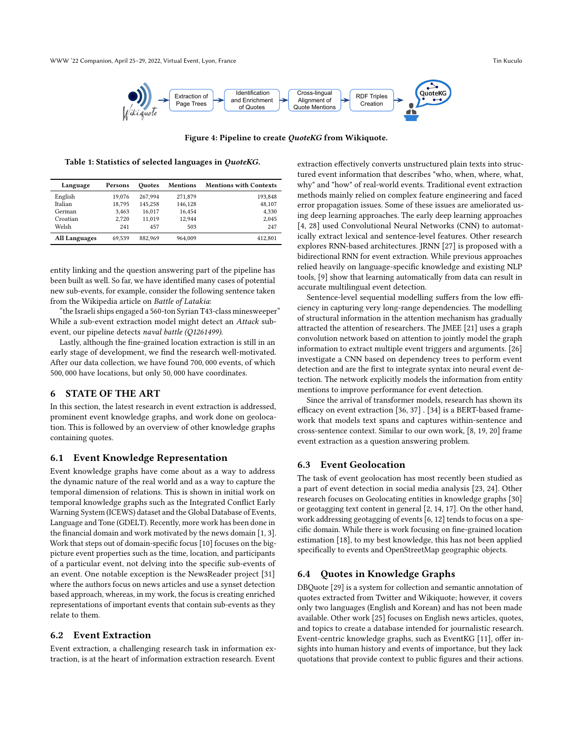<span id="page-3-0"></span>

Figure 4: Pipeline to create QuoteKG from Wikiquote.

<span id="page-3-1"></span>Table 1: Statistics of selected languages in QuoteKG.

| Language             | Persons | Ouotes  | Mentions | <b>Mentions with Contexts</b> |
|----------------------|---------|---------|----------|-------------------------------|
| English              | 19.076  | 267.994 | 271,879  | 193,848                       |
| Italian              | 18,795  | 145.258 | 146,128  | 48,107                        |
| German               | 3.463   | 16.017  | 16.454   | 4,330                         |
| Croatian             | 2.720   | 11.019  | 12.944   | 2,045                         |
| Welsh                | 241     | 457     | 503      | 247                           |
| <b>All Languages</b> | 69.539  | 882.969 | 964.009  | 412.801                       |

entity linking and the question answering part of the pipeline has been built as well. So far, we have identified many cases of potential new sub-events, for example, consider the following sentence taken from the Wikipedia article on Battle of Latakia:

"the Israeli ships engaged a 560-ton Syrian T43-class minesweeper" While a sub-event extraction model might detect an Attack subevent, our pipeline detects naval battle (Q1261499).

Lastly, although the fine-grained location extraction is still in an early stage of development, we find the research well-motivated. After our data collection, we have found 700, 000 events, of which 500, 000 have locations, but only 50, 000 have coordinates.

### 6 STATE OF THE ART

In this section, the latest research in event extraction is addressed, prominent event knowledge graphs, and work done on geolocation. This is followed by an overview of other knowledge graphs containing quotes.

### 6.1 Event Knowledge Representation

Event knowledge graphs have come about as a way to address the dynamic nature of the real world and as a way to capture the temporal dimension of relations. This is shown in initial work on temporal knowledge graphs such as the Integrated Conflict Early Warning System (ICEWS) dataset and the Global Database of Events, Language and Tone (GDELT). Recently, more work has been done in the financial domain and work motivated by the news domain [\[1,](#page-4-11) [3\]](#page-4-12). Work that steps out of domain-specific focus [\[10\]](#page-4-7) focuses on the bigpicture event properties such as the time, location, and participants of a particular event, not delving into the specific sub-events of an event. One notable exception is the NewsReader project [\[31\]](#page-4-3) where the authors focus on news articles and use a synset detection based approach, whereas, in my work, the focus is creating enriched representations of important events that contain sub-events as they relate to them.

### 6.2 Event Extraction

Event extraction, a challenging research task in information extraction, is at the heart of information extraction research. Event

extraction effectively converts unstructured plain texts into structured event information that describes "who, when, where, what, why" and "how" of real-world events. Traditional event extraction methods mainly relied on complex feature engineering and faced error propagation issues. Some of these issues are ameliorated using deep learning approaches. The early deep learning approaches [\[4,](#page-4-13) [28\]](#page-4-14) used Convolutional Neural Networks (CNN) to automatically extract lexical and sentence-level features. Other research explores RNN-based architectures. JRNN [\[27\]](#page-4-15) is proposed with a bidirectional RNN for event extraction. While previous approaches relied heavily on language-specific knowledge and existing NLP tools, [\[9\]](#page-4-16) show that learning automatically from data can result in accurate multilingual event detection.

Sentence-level sequential modelling suffers from the low efficiency in capturing very long-range dependencies. The modelling of structural information in the attention mechanism has gradually attracted the attention of researchers. The JMEE [\[21\]](#page-4-17) uses a graph convolution network based on attention to jointly model the graph information to extract multiple event triggers and arguments. [\[26\]](#page-4-18) investigate a CNN based on dependency trees to perform event detection and are the first to integrate syntax into neural event detection. The network explicitly models the information from entity mentions to improve performance for event detection.

Since the arrival of transformer models, research has shown its efficacy on event extraction [\[36,](#page-4-19) [37\]](#page-4-20) . [\[34\]](#page-4-21) is a BERT-based framework that models text spans and captures within-sentence and cross-sentence context. Similar to our own work, [\[8,](#page-4-22) [19,](#page-4-23) [20\]](#page-4-24) frame event extraction as a question answering problem.

### 6.3 Event Geolocation

The task of event geolocation has most recently been studied as a part of event detection in social media analysis [\[23,](#page-4-25) [24\]](#page-4-26). Other research focuses on Geolocating entities in knowledge graphs [\[30\]](#page-4-27) or geotagging text content in general [\[2,](#page-4-28) [14,](#page-4-29) [17\]](#page-4-30). On the other hand, work addressing geotagging of events [\[6,](#page-4-31) [12\]](#page-4-32) tends to focus on a specific domain. While there is work focusing on fine-grained location estimation [\[18\]](#page-4-33), to my best knowledge, this has not been applied specifically to events and OpenStreetMap geographic objects.

#### 6.4 Quotes in Knowledge Graphs

DBQuote [\[29\]](#page-4-34) is a system for collection and semantic annotation of quotes extracted from Twitter and Wikiquote; however, it covers only two languages (English and Korean) and has not been made available. Other work [\[25\]](#page-4-35) focuses on English news articles, quotes, and topics to create a database intended for journalistic research. Event-centric knowledge graphs, such as EventKG [\[11\]](#page-4-36), offer insights into human history and events of importance, but they lack quotations that provide context to public figures and their actions.